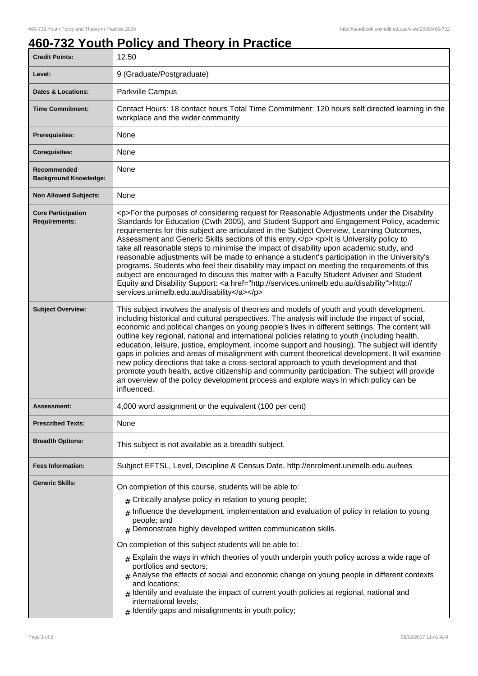## **460-732 Youth Policy and Theory in Practice**

| <b>Credit Points:</b>                             | 12.50                                                                                                                                                                                                                                                                                                                                                                                                                                                                                                                                                                                                                                                                                                                                                                                                                                                                                                                        |
|---------------------------------------------------|------------------------------------------------------------------------------------------------------------------------------------------------------------------------------------------------------------------------------------------------------------------------------------------------------------------------------------------------------------------------------------------------------------------------------------------------------------------------------------------------------------------------------------------------------------------------------------------------------------------------------------------------------------------------------------------------------------------------------------------------------------------------------------------------------------------------------------------------------------------------------------------------------------------------------|
| Level:                                            | 9 (Graduate/Postgraduate)                                                                                                                                                                                                                                                                                                                                                                                                                                                                                                                                                                                                                                                                                                                                                                                                                                                                                                    |
| <b>Dates &amp; Locations:</b>                     | Parkville Campus                                                                                                                                                                                                                                                                                                                                                                                                                                                                                                                                                                                                                                                                                                                                                                                                                                                                                                             |
| <b>Time Commitment:</b>                           | Contact Hours: 18 contact hours Total Time Commitment: 120 hours self directed learning in the<br>workplace and the wider community                                                                                                                                                                                                                                                                                                                                                                                                                                                                                                                                                                                                                                                                                                                                                                                          |
| <b>Prerequisites:</b>                             | None                                                                                                                                                                                                                                                                                                                                                                                                                                                                                                                                                                                                                                                                                                                                                                                                                                                                                                                         |
| <b>Corequisites:</b>                              | None                                                                                                                                                                                                                                                                                                                                                                                                                                                                                                                                                                                                                                                                                                                                                                                                                                                                                                                         |
| Recommended<br><b>Background Knowledge:</b>       | None                                                                                                                                                                                                                                                                                                                                                                                                                                                                                                                                                                                                                                                                                                                                                                                                                                                                                                                         |
| <b>Non Allowed Subjects:</b>                      | None                                                                                                                                                                                                                                                                                                                                                                                                                                                                                                                                                                                                                                                                                                                                                                                                                                                                                                                         |
| <b>Core Participation</b><br><b>Requirements:</b> | <p>For the purposes of considering request for Reasonable Adjustments under the Disability<br/>Standards for Education (Cwth 2005), and Student Support and Engagement Policy, academic<br/>requirements for this subject are articulated in the Subject Overview, Learning Outcomes,<br/>Assessment and Generic Skills sections of this entry.</p> <p>lt is University policy to<br/>take all reasonable steps to minimise the impact of disability upon academic study, and<br/>reasonable adjustments will be made to enhance a student's participation in the University's<br/>programs. Students who feel their disability may impact on meeting the requirements of this<br/>subject are encouraged to discuss this matter with a Faculty Student Adviser and Student<br/>Equity and Disability Support: &lt; a href="http://services.unimelb.edu.au/disability"&gt;http://<br/>services.unimelb.edu.au/disability</p> |
| <b>Subject Overview:</b>                          | This subject involves the analysis of theories and models of youth and youth development,<br>including historical and cultural perspectives. The analysis will include the impact of social,<br>economic and political changes on young people's lives in different settings. The content will<br>outline key regional, national and international policies relating to youth (including health,<br>education, leisure, justice, employment, income support and housing). The subject will identify<br>gaps in policies and areas of misalignment with current theoretical development. It will examine<br>new policy directions that take a cross-sectoral approach to youth development and that<br>promote youth health, active citizenship and community participation. The subject will provide<br>an overview of the policy development process and explore ways in which policy can be<br>influenced.                 |
| Assessment:                                       | 4,000 word assignment or the equivalent (100 per cent)                                                                                                                                                                                                                                                                                                                                                                                                                                                                                                                                                                                                                                                                                                                                                                                                                                                                       |
| <b>Prescribed Texts:</b>                          | None                                                                                                                                                                                                                                                                                                                                                                                                                                                                                                                                                                                                                                                                                                                                                                                                                                                                                                                         |
| <b>Breadth Options:</b>                           | This subject is not available as a breadth subject.                                                                                                                                                                                                                                                                                                                                                                                                                                                                                                                                                                                                                                                                                                                                                                                                                                                                          |
| <b>Fees Information:</b>                          | Subject EFTSL, Level, Discipline & Census Date, http://enrolment.unimelb.edu.au/fees                                                                                                                                                                                                                                                                                                                                                                                                                                                                                                                                                                                                                                                                                                                                                                                                                                         |
| <b>Generic Skills:</b>                            | On completion of this course, students will be able to:<br>Critically analyse policy in relation to young people;<br>#<br>Influence the development, implementation and evaluation of policy in relation to young<br>people; and<br>$#$ Demonstrate highly developed written communication skills.<br>On completion of this subject students will be able to:<br>Explain the ways in which theories of youth underpin youth policy across a wide rage of<br>#<br>portfolios and sectors;<br>$#$ Analyse the effects of social and economic change on young people in different contexts<br>and locations;<br>Identify and evaluate the impact of current youth policies at regional, national and<br>international levels;<br>$#$ Identify gaps and misalignments in youth policy;                                                                                                                                           |